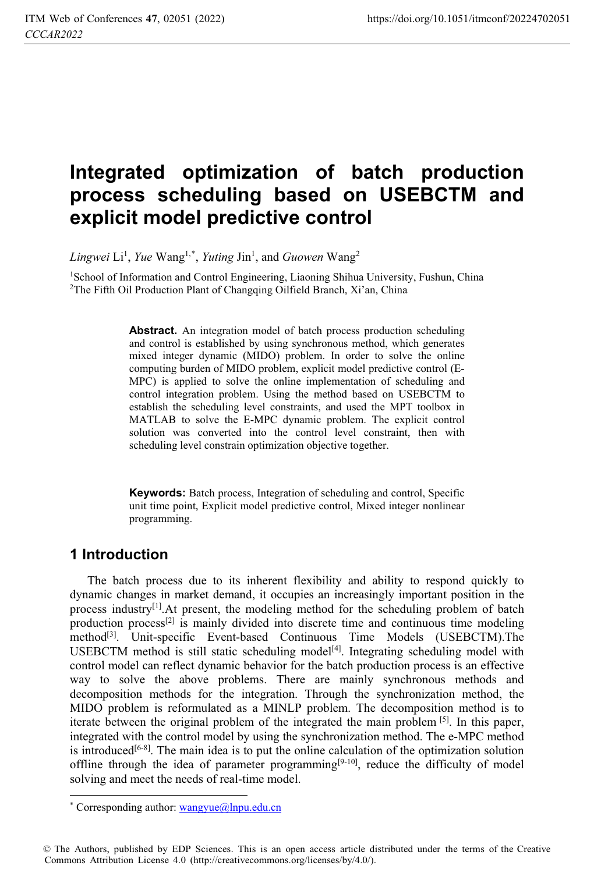# **Integrated optimization of batch production process scheduling based on USEBCTM and explicit model predictive control**

Lingwei Li<sup>1</sup>, *Yue* Wang<sup>1,\*</sup>, *Yuting Jin<sup>1</sup>, and Guowen* Wang<sup>2</sup>

<sup>1</sup>School of Information and Control Engineering, Liaoning Shihua University, Fushun, China <sup>2</sup>The Fifth Oil Production Plant of Changqing Oilfield Branch, Xi'an, China

**Abstract.** An integration model of batch process production scheduling and control is established by using synchronous method, which generates mixed integer dynamic (MIDO) problem. In order to solve the online computing burden of MIDO problem, explicit model predictive control (E-MPC) is applied to solve the online implementation of scheduling and control integration problem. Using the method based on USEBCTM to establish the scheduling level constraints, and used the MPT toolbox in MATLAB to solve the E-MPC dynamic problem. The explicit control solution was converted into the control level constraint, then with scheduling level constrain optimization objective together.

**Keywords:** Batch process, Integration of scheduling and control, Specific unit time point, Explicit model predictive control, Mixed integer nonlinear programming.

# **1 Introduction**

The batch process due to its inherent flexibility and ability to respond quickly to dynamic changes in market demand, it occupies an increasingly important position in the process industry<sup>[1]</sup>. At present, the modeling method for the scheduling problem of batch production process<sup>[2]</sup> is mainly divided into discrete time and continuous time modeling method<sup>[3]</sup>. Unit-specific Event-based Continuous Time Models (USEBCTM). The USEBCTM method is still static scheduling model<sup>[4]</sup>. Integrating scheduling model with control model can reflect dynamic behavior for the batch production process is an effective way to solve the above problems. There are mainly synchronous methods and decomposition methods for the integration. Through the synchronization method, the MIDO problem is reformulated as a MINLP problem. The decomposition method is to iterate between the original problem of the integrated the main problem [5]. In this paper, integrated with the control model by using the synchronization method. The e-MPC method is introduced $[6-8]$ . The main idea is to put the online calculation of the optimization solution offline through the idea of parameter programming $[9-10]$ , reduce the difficulty of model solving and meet the needs of real-time model.

 $\overline{a}$ \* Corresponding author: wangyue@lnpu.edu.cn

<sup>©</sup> The Authors, published by EDP Sciences. This is an open access article distributed under the terms of the Creative Commons Attribution License 4.0 (http://creativecommons.org/licenses/by/4.0/).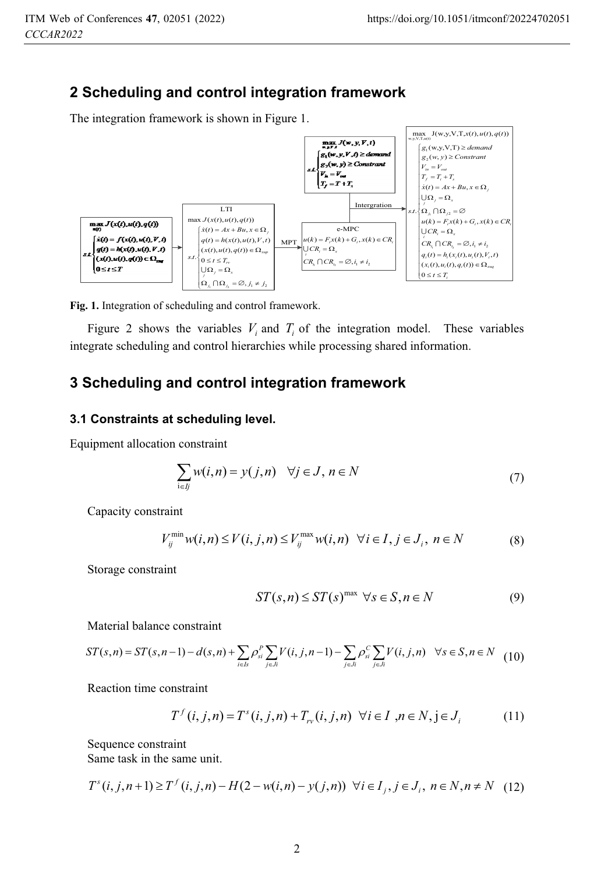# **2 Scheduling and control integration framework**

The integration framework is shown in Figure 1.



**Fig. 1.** Integration of scheduling and control framework.

Figure 2 shows the variables  $V_i$  and  $T_i$  of the integration model. These variables integrate scheduling and control hierarchies while processing shared information.

# **3 Scheduling and control integration framework**

#### **3.1 Constraints at scheduling level.**

Equipment allocation constraint

$$
\sum_{i \in J} w(i, n) = y(j, n) \quad \forall j \in J, n \in N
$$
\n(7)

Capacity constraint

$$
V_{ij}^{\min} w(i, n) \le V(i, j, n) \le V_{ij}^{\max} w(i, n) \quad \forall i \in I, j \in J_i, n \in N
$$
 (8)

Storage constraint

$$
ST(s, n) \le ST(s)^{\max} \ \forall s \in S, n \in N \tag{9}
$$

Material balance constraint

$$
ST(s,n) = ST(s,n-1) - d(s,n) + \sum_{i \in I_s} \rho_{si}^P \sum_{j \in J_i} V(i,j,n-1) - \sum_{j \in J_i} \rho_{si}^C \sum_{j \in J_i} V(i,j,n) \quad \forall s \in S, n \in N \tag{10}
$$

Reaction time constraint

$$
T^{f}(i, j, n) = T^{s}(i, j, n) + T_{r}(i, j, n) \quad \forall i \in I \, , n \in N, j \in J_{i}
$$
 (11)

Sequence constraint Same task in the same unit.

$$
T^{s}(i, j, n+1) \geq T^{f}(i, j, n) - H(2 - w(i, n) - y(j, n)) \quad \forall i \in I_{j}, j \in J_{i}, n \in N, n \neq N \quad (12)
$$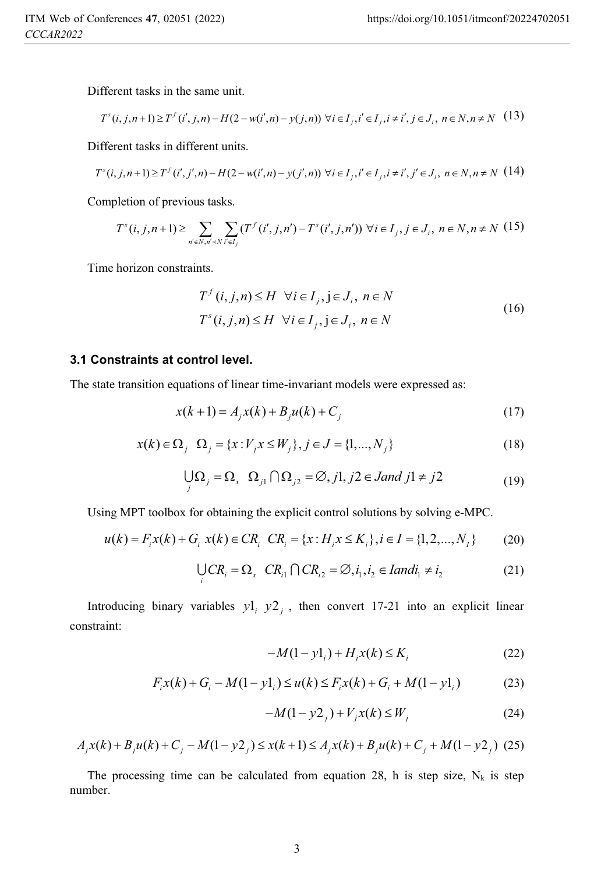Different tasks in the same unit.

$$
T^{s}(i, j, n+1) \geq T^{f}(i', j, n) - H(2 - w(i', n) - y(j, n)) \,\,\forall i \in I_{j}, i' \in I_{j}, i \neq i', j \in J_{i}, n \in N, n \neq N \tag{13}
$$

Different tasks in different units.

$$
T^{s}(i, j, n+1) \geq T^{f}(i', j', n) - H(2 - w(i', n) - y(j', n)) \,\forall i \in I_{j}, i' \in I_{j}, i \neq i', j' \in J_{i}, n \in N, n \neq N \tag{14}
$$

Completion of previous tasks.

$$
T^{s}(i, j, n+1) \geq \sum_{n' \in N, n' \prec N} \sum_{i' \in I_j} (T^{f}(i', j, n') - T^{s}(i', j, n')) \,\,\forall i \in I_j, j \in J_i, \, n \in N, n \neq N \tag{15}
$$

Time horizon constraints.

$$
T^{f}(i, j, n) \leq H \quad \forall i \in I_{j}, j \in J_{i}, n \in N
$$
  

$$
T^{s}(i, j, n) \leq H \quad \forall i \in I_{j}, j \in J_{i}, n \in N
$$
 (16)

#### **3.1 Constraints at control level.**

The state transition equations of linear time-invariant models were expressed as:

$$
x(k+1) = A_j x(k) + B_j u(k) + C_j
$$
\n(17)

$$
x(k) \in \Omega_j \quad \Omega_j = \{x : V_j x \le W_j\}, j \in J = \{1, ..., N_j\}
$$
\n(18)

$$
\bigcup_{j} \Omega_{j} = \Omega_{x} \ \Omega_{j1} \cap \Omega_{j2} = \emptyset, j1, j2 \in \text{Jand } j1 \neq j2 \tag{19}
$$

Using MPT toolbox for obtaining the explicit control solutions by solving e-MPC.

$$
u(k) = F_i x(k) + G_i x(k) \in CR_i \quad CR_i = \{x : H_i x \le K_i\}, i \in I = \{1, 2, ..., N_I\}
$$
 (20)

$$
\bigcup_{i} CR_{i} = \Omega_{x} \quad CR_{i1} \cap CR_{i2} = \emptyset, i_{1}, i_{2} \in \text{land} i_{1} \neq i_{2}
$$
 (21)

Introducing binary variables  $y_1$   $y_2$ , then convert 17-21 into an explicit linear constraint:

$$
-M(1 - y1_i) + H_i x(k) \le K_i
$$
 (22)

$$
F_i x(k) + G_i - M(1 - y1_i) \le u(k) \le F_i x(k) + G_i + M(1 - y1_i)
$$
 (23)

$$
-M(1 - y^2) + V_j x(k) \le W_j \tag{24}
$$

$$
A_j x(k) + B_j u(k) + C_j - M(1 - y^2) \le x(k+1) \le A_j x(k) + B_j u(k) + C_j + M(1 - y^2)
$$
 (25)

The processing time can be calculated from equation 28, h is step size,  $N_k$  is step number.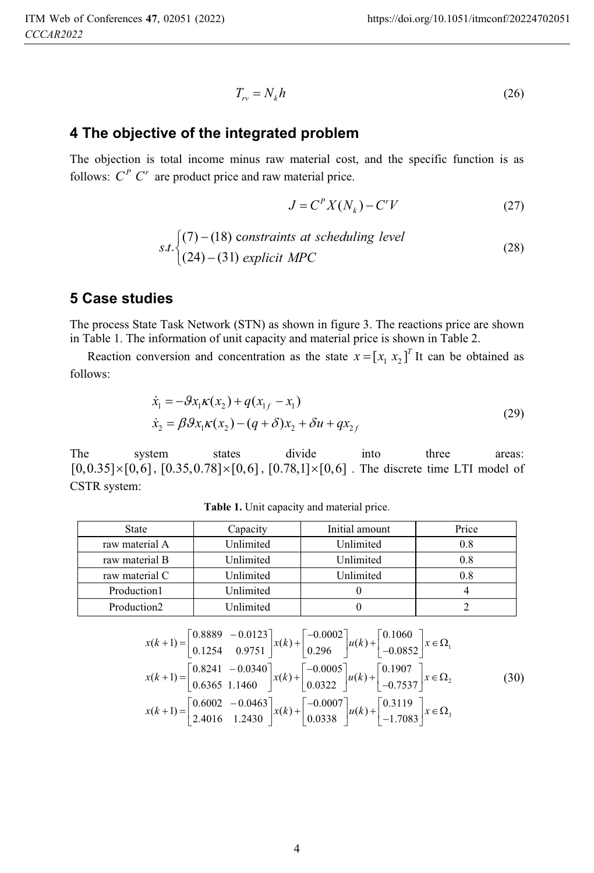$$
T_{rr} = N_k h \tag{26}
$$

### **4 The objective of the integrated problem**

The objection is total income minus raw material cost, and the specific function is as follows:  $C^P C^r$  are product price and raw material price.

$$
J = CP X(Nk) - Cr V
$$
 (27)

$$
s.t. \begin{cases} (7) - (18) \text{ constraints at scheduling level} \\ (24) - (31) \text{ explicit } MPC \end{cases} \tag{28}
$$

## **5 Case studies**

The process State Task Network (STN) as shown in figure 3. The reactions price are shown in Table 1. The information of unit capacity and material price is shown in Table 2.

Reaction conversion and concentration as the state  $x = [x_1, x_2]^T$  It can be obtained as follows:

$$
\dot{x}_1 = -\beta x_1 \kappa(x_2) + q(x_{1f} - x_1) \n\dot{x}_2 = \beta \beta x_1 \kappa(x_2) - (q + \delta)x_2 + \delta u + qx_{2f}
$$
\n(29)

The system states divide into three areas:  $[0,0.35] \times [0,6]$ ,  $[0.35,0.78] \times [0,6]$ ,  $[0.78,1] \times [0,6]$ . The discrete time LTI model of CSTR system:

| <b>State</b>            | Capacity  | Initial amount | Price   |
|-------------------------|-----------|----------------|---------|
| raw material A          | Unlimited | Unlimited      | $0.8\,$ |
| raw material B          | Unlimited | Unlimited      | 0.8     |
| raw material C          | Unlimited | Unlimited      | 0.8     |
| Production1             | Unlimited |                |         |
| Production <sub>2</sub> | Unlimited |                |         |

**Table 1.** Unit capacity and material price.

$$
x(k+1) = \begin{bmatrix} 0.8889 & -0.0123 \\ 0.1254 & 0.9751 \end{bmatrix} x(k) + \begin{bmatrix} -0.0002 \\ 0.296 \end{bmatrix} u(k) + \begin{bmatrix} 0.1060 \\ -0.0852 \end{bmatrix} x \in \Omega_1
$$
  
\n
$$
x(k+1) = \begin{bmatrix} 0.8241 & -0.0340 \\ 0.6365 & 1.1460 \end{bmatrix} x(k) + \begin{bmatrix} -0.0005 \\ 0.0322 \end{bmatrix} u(k) + \begin{bmatrix} 0.1907 \\ -0.7537 \end{bmatrix} x \in \Omega_2
$$
  
\n
$$
x(k+1) = \begin{bmatrix} 0.6002 & -0.0463 \\ 2.4016 & 1.2430 \end{bmatrix} x(k) + \begin{bmatrix} -0.0007 \\ 0.0338 \end{bmatrix} u(k) + \begin{bmatrix} 0.3119 \\ -1.7083 \end{bmatrix} x \in \Omega_3
$$
 (30)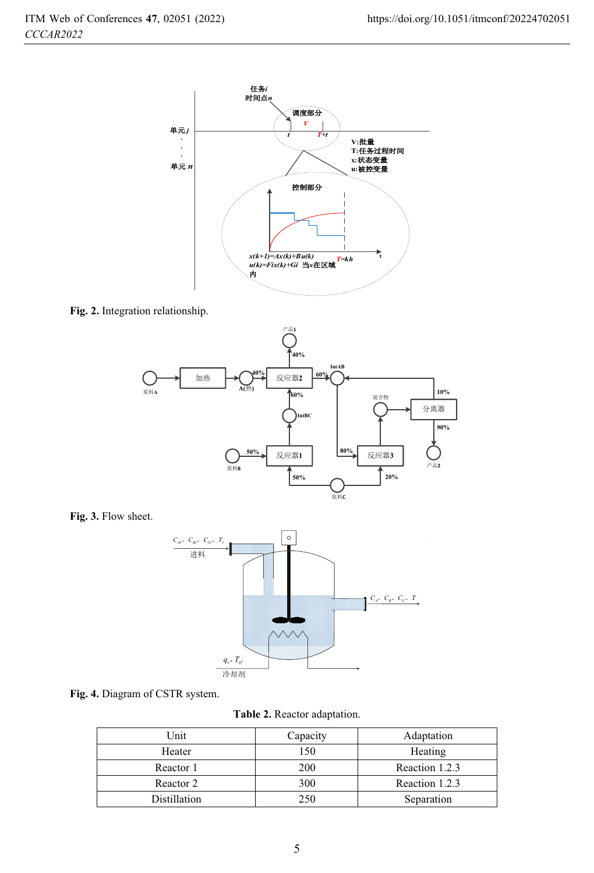

**Fig. 2.** Integration relationship.



**Fig. 3.** Flow sheet.





**Table 2.** Reactor adaptation.

| Unit         | Capacity | Adaptation     |
|--------------|----------|----------------|
| Heater       | 150      | Heating        |
| Reactor 1    | 200      | Reaction 1.2.3 |
| Reactor 2    | 300      | Reaction 1.2.3 |
| Distillation | 250      | Separation     |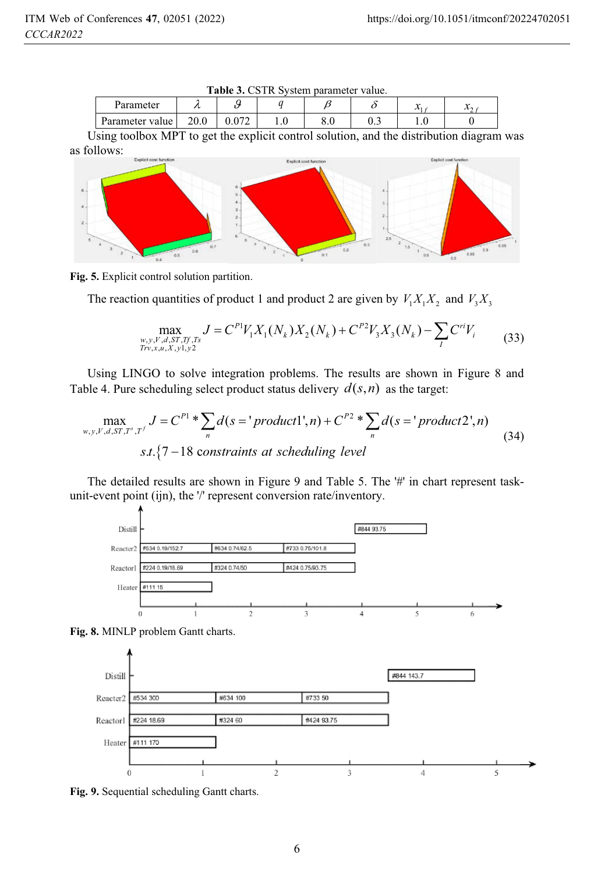| <b>Table 3.</b> CSTR System parameter value. |      |  |  |     |     |                            |  |
|----------------------------------------------|------|--|--|-----|-----|----------------------------|--|
| Parameter                                    |      |  |  |     |     | $\boldsymbol{\mathcal{N}}$ |  |
| Parameter value                              | 20.0 |  |  | o.u | U.S |                            |  |

**Table 3. CCTD System parameter** 

Using toolbox MPT to get the explicit control solution, and the distribution diagram was as follows:



**Fig. 5.** Explicit control solution partition.

The reaction quantities of product 1 and product 2 are given by  $V_1X_1X_2$  and  $V_3X_3$ 

$$
\max_{\substack{w,y,V,d,ST,Tf,Ts\\Trv,x,u,X,y1,y2}} J = C^{PI} V_1 X_1(N_k) X_2(N_k) + C^{P2} V_3 X_3(N_k) - \sum_{I} C^{ri} V_i
$$
\n(33)

Using LINGO to solve integration problems. The results are shown in Figure 8 and Table 4. Pure scheduling select product status delivery  $d(s, n)$  as the target:

$$
\max_{w,y,Y,d,ST,T^s,T'} J = C^{P1} * \sum_{n} d(s = 'product1',n) + C^{P2} * \sum_{n} d(s = 'product2',n)
$$
  
s.t. {7–18 constraints at scheduling level

The detailed results are shown in Figure 9 and Table 5. The '#' in chart represent taskunit-event point (ijn), the '/' represent conversion rate/inventory.







**Fig. 9.** Sequential scheduling Gantt charts.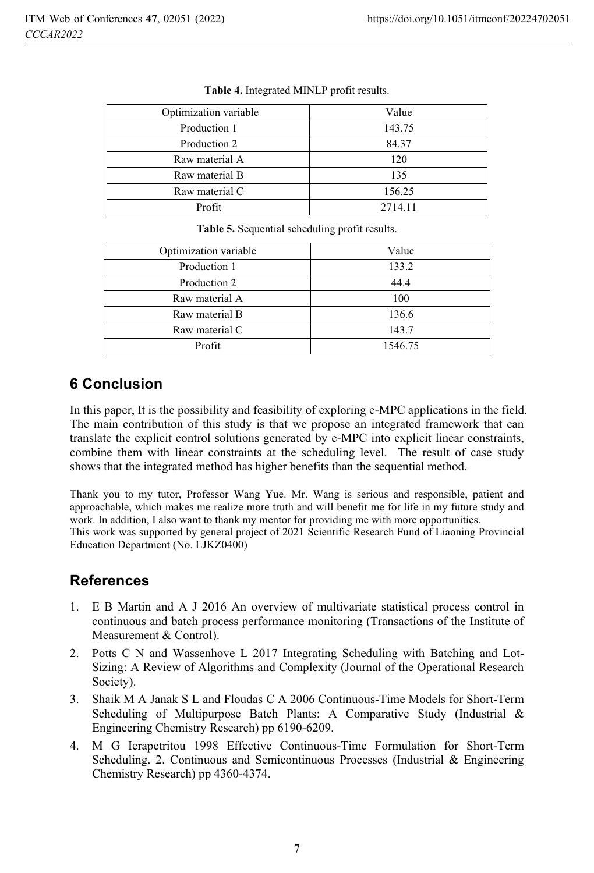| Optimization variable | Value   |
|-----------------------|---------|
| Production 1          | 143.75  |
| Production 2          | 84.37   |
| Raw material A        | 120     |
| Raw material B        | 135     |
| Raw material C        | 156.25  |
| Profit                | 2714.11 |

| Optimization variable | Value   |
|-----------------------|---------|
| Production 1          | 133.2   |
| Production 2          | 44.4    |
| Raw material A        | 100     |
| Raw material B        | 136.6   |
| Raw material C        | 143.7   |
| Profit                | 1546.75 |

**Table 5.** Sequential scheduling profit results.

# **6 Conclusion**

In this paper, It is the possibility and feasibility of exploring e-MPC applications in the field. The main contribution of this study is that we propose an integrated framework that can translate the explicit control solutions generated by e-MPC into explicit linear constraints, combine them with linear constraints at the scheduling level. The result of case study shows that the integrated method has higher benefits than the sequential method.

Thank you to my tutor, Professor Wang Yue. Mr. Wang is serious and responsible, patient and approachable, which makes me realize more truth and will benefit me for life in my future study and work. In addition, I also want to thank my mentor for providing me with more opportunities. This work was supported by general project of 2021 Scientific Research Fund of Liaoning Provincial

Education Department (No. LJKZ0400)

# **References**

- 1. E B Martin and A J 2016 An overview of multivariate statistical process control in continuous and batch process performance monitoring (Transactions of the Institute of Measurement & Control).
- 2. Potts C N and Wassenhove L 2017 Integrating Scheduling with Batching and Lot-Sizing: A Review of Algorithms and Complexity (Journal of the Operational Research Society).
- 3. Shaik M A Janak S L and Floudas C A 2006 Continuous-Time Models for Short-Term Scheduling of Multipurpose Batch Plants: A Comparative Study (Industrial & Engineering Chemistry Research) pp 6190-6209.
- 4. M G Ierapetritou 1998 Effective Continuous-Time Formulation for Short-Term Scheduling. 2. Continuous and Semicontinuous Processes (Industrial & Engineering Chemistry Research) pp 4360-4374.